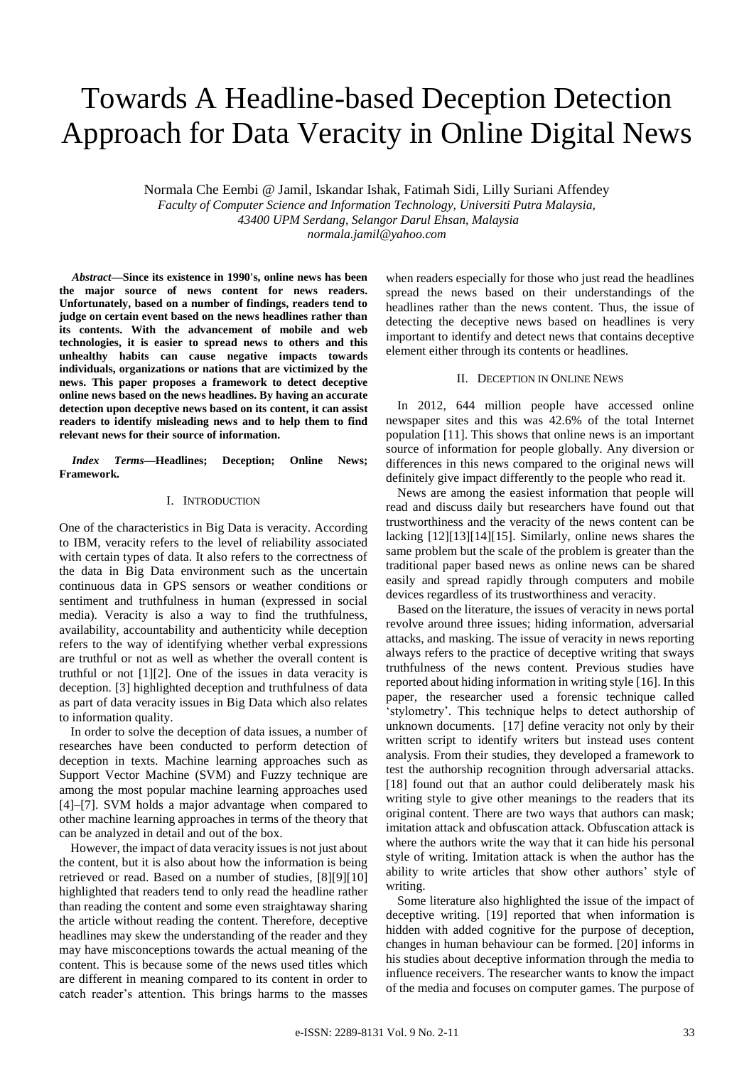# Towards A Headline-based Deception Detection Approach for Data Veracity in Online Digital News

Normala Che Eembi @ Jamil, Iskandar Ishak, Fatimah Sidi, Lilly Suriani Affendey

*Faculty of Computer Science and Information Technology, Universiti Putra Malaysia, 43400 UPM Serdang, Selangor Darul Ehsan, Malaysia*

*normala.jamil@yahoo.com*

*Abstract***—Since its existence in 1990's, online news has been the major source of news content for news readers. Unfortunately, based on a number of findings, readers tend to judge on certain event based on the news headlines rather than its contents. With the advancement of mobile and web technologies, it is easier to spread news to others and this unhealthy habits can cause negative impacts towards individuals, organizations or nations that are victimized by the news. This paper proposes a framework to detect deceptive online news based on the news headlines. By having an accurate detection upon deceptive news based on its content, it can assist readers to identify misleading news and to help them to find relevant news for their source of information.**

*Index Terms***—Headlines; Deception; Online News; Framework.**

## I. INTRODUCTION

One of the characteristics in Big Data is veracity. According to IBM, veracity refers to the level of reliability associated with certain types of data. It also refers to the correctness of the data in Big Data environment such as the uncertain continuous data in GPS sensors or weather conditions or sentiment and truthfulness in human (expressed in social media). Veracity is also a way to find the truthfulness, availability, accountability and authenticity while deception refers to the way of identifying whether verbal expressions are truthful or not as well as whether the overall content is truthful or not [1][2]. One of the issues in data veracity is deception. [3] highlighted deception and truthfulness of data as part of data veracity issues in Big Data which also relates to information quality.

In order to solve the deception of data issues, a number of researches have been conducted to perform detection of deception in texts. Machine learning approaches such as Support Vector Machine (SVM) and Fuzzy technique are among the most popular machine learning approaches used [4]–[7]. SVM holds a major advantage when compared to other machine learning approaches in terms of the theory that can be analyzed in detail and out of the box.

However, the impact of data veracity issues is not just about the content, but it is also about how the information is being retrieved or read. Based on a number of studies, [8][9][10] highlighted that readers tend to only read the headline rather than reading the content and some even straightaway sharing the article without reading the content. Therefore, deceptive headlines may skew the understanding of the reader and they may have misconceptions towards the actual meaning of the content. This is because some of the news used titles which are different in meaning compared to its content in order to catch reader's attention. This brings harms to the masses

when readers especially for those who just read the headlines spread the news based on their understandings of the headlines rather than the news content. Thus, the issue of detecting the deceptive news based on headlines is very important to identify and detect news that contains deceptive element either through its contents or headlines.

#### II. DECEPTION IN ONLINE NEWS

In 2012, 644 million people have accessed online newspaper sites and this was 42.6% of the total Internet population [11]. This shows that online news is an important source of information for people globally. Any diversion or differences in this news compared to the original news will definitely give impact differently to the people who read it.

News are among the easiest information that people will read and discuss daily but researchers have found out that trustworthiness and the veracity of the news content can be lacking [12][13][14][15]. Similarly, online news shares the same problem but the scale of the problem is greater than the traditional paper based news as online news can be shared easily and spread rapidly through computers and mobile devices regardless of its trustworthiness and veracity.

Based on the literature, the issues of veracity in news portal revolve around three issues; hiding information, adversarial attacks, and masking. The issue of veracity in news reporting always refers to the practice of deceptive writing that sways truthfulness of the news content. Previous studies have reported about hiding information in writing style [16]. In this paper, the researcher used a forensic technique called 'stylometry'. This technique helps to detect authorship of unknown documents. [17] define veracity not only by their written script to identify writers but instead uses content analysis. From their studies, they developed a framework to test the authorship recognition through adversarial attacks. [18] found out that an author could deliberately mask his writing style to give other meanings to the readers that its original content. There are two ways that authors can mask; imitation attack and obfuscation attack. Obfuscation attack is where the authors write the way that it can hide his personal style of writing. Imitation attack is when the author has the ability to write articles that show other authors' style of writing.

Some literature also highlighted the issue of the impact of deceptive writing. [19] reported that when information is hidden with added cognitive for the purpose of deception, changes in human behaviour can be formed. [20] informs in his studies about deceptive information through the media to influence receivers. The researcher wants to know the impact of the media and focuses on computer games. The purpose of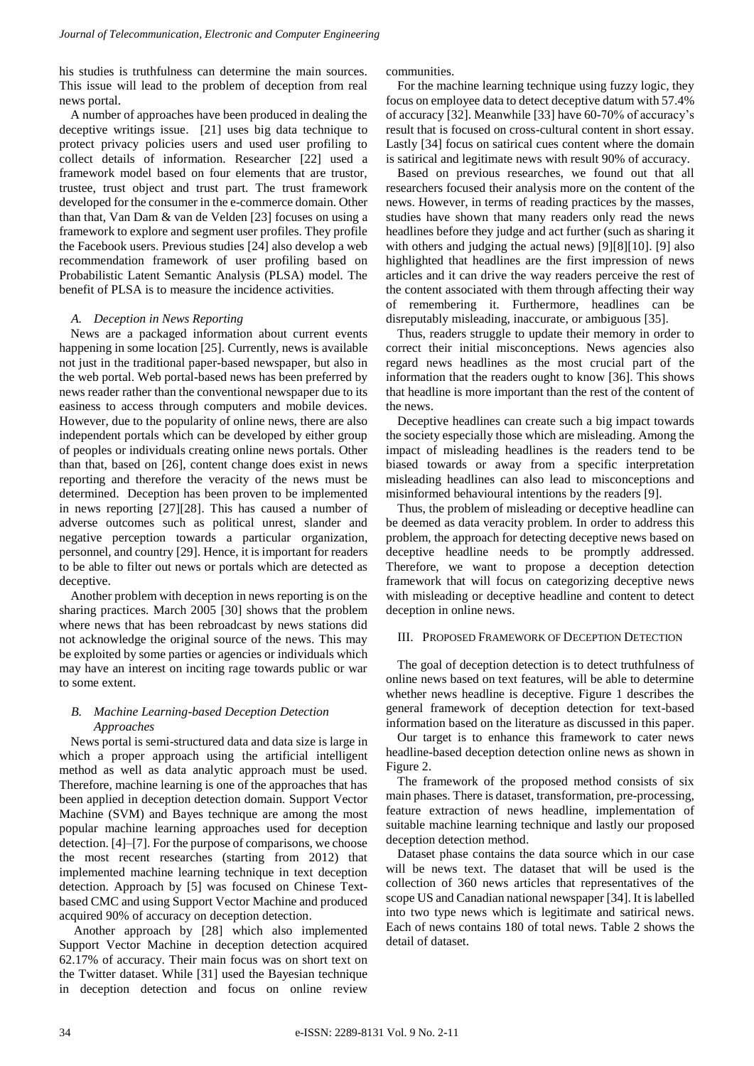his studies is truthfulness can determine the main sources. This issue will lead to the problem of deception from real news portal.

A number of approaches have been produced in dealing the deceptive writings issue. [21] uses big data technique to protect privacy policies users and used user profiling to collect details of information. Researcher [22] used a framework model based on four elements that are trustor, trustee, trust object and trust part. The trust framework developed for the consumer in the e-commerce domain. Other than that, Van Dam & van de Velden [23] focuses on using a framework to explore and segment user profiles. They profile the Facebook users. Previous studies [24] also develop a web recommendation framework of user profiling based on Probabilistic Latent Semantic Analysis (PLSA) model. The benefit of PLSA is to measure the incidence activities.

## *A. Deception in News Reporting*

News are a packaged information about current events happening in some location [25]. Currently, news is available not just in the traditional paper-based newspaper, but also in the web portal. Web portal-based news has been preferred by news reader rather than the conventional newspaper due to its easiness to access through computers and mobile devices. However, due to the popularity of online news, there are also independent portals which can be developed by either group of peoples or individuals creating online news portals. Other than that, based on [26], content change does exist in news reporting and therefore the veracity of the news must be determined. Deception has been proven to be implemented in news reporting [27][28]. This has caused a number of adverse outcomes such as political unrest, slander and negative perception towards a particular organization, personnel, and country [29]. Hence, it is important for readers to be able to filter out news or portals which are detected as deceptive.

Another problem with deception in news reporting is on the sharing practices. March 2005 [30] shows that the problem where news that has been rebroadcast by news stations did not acknowledge the original source of the news. This may be exploited by some parties or agencies or individuals which may have an interest on inciting rage towards public or war to some extent.

## *B. Machine Learning-based Deception Detection Approaches*

News portal is semi-structured data and data size is large in which a proper approach using the artificial intelligent method as well as data analytic approach must be used. Therefore, machine learning is one of the approaches that has been applied in deception detection domain. Support Vector Machine (SVM) and Bayes technique are among the most popular machine learning approaches used for deception detection. [4]–[7]. For the purpose of comparisons, we choose the most recent researches (starting from 2012) that implemented machine learning technique in text deception detection. Approach by [5] was focused on Chinese Textbased CMC and using Support Vector Machine and produced acquired 90% of accuracy on deception detection.

Another approach by [28] which also implemented Support Vector Machine in deception detection acquired 62.17% of accuracy. Their main focus was on short text on the Twitter dataset. While [31] used the Bayesian technique in deception detection and focus on online review communities.

For the machine learning technique using fuzzy logic, they focus on employee data to detect deceptive datum with 57.4% of accuracy [32]. Meanwhile [33] have 60-70% of accuracy's result that is focused on cross-cultural content in short essay. Lastly [34] focus on satirical cues content where the domain is satirical and legitimate news with result 90% of accuracy.

Based on previous researches, we found out that all researchers focused their analysis more on the content of the news. However, in terms of reading practices by the masses, studies have shown that many readers only read the news headlines before they judge and act further (such as sharing it with others and judging the actual news) [9][8][10]. [9] also highlighted that headlines are the first impression of news articles and it can drive the way readers perceive the rest of the content associated with them through affecting their way of remembering it. Furthermore, headlines can be disreputably misleading, inaccurate, or ambiguous [35].

Thus, readers struggle to update their memory in order to correct their initial misconceptions. News agencies also regard news headlines as the most crucial part of the information that the readers ought to know [36]. This shows that headline is more important than the rest of the content of the news.

Deceptive headlines can create such a big impact towards the society especially those which are misleading. Among the impact of misleading headlines is the readers tend to be biased towards or away from a specific interpretation misleading headlines can also lead to misconceptions and misinformed behavioural intentions by the readers [9].

Thus, the problem of misleading or deceptive headline can be deemed as data veracity problem. In order to address this problem, the approach for detecting deceptive news based on deceptive headline needs to be promptly addressed. Therefore, we want to propose a deception detection framework that will focus on categorizing deceptive news with misleading or deceptive headline and content to detect deception in online news.

## III. PROPOSED FRAMEWORK OF DECEPTION DETECTION

The goal of deception detection is to detect truthfulness of online news based on text features, will be able to determine whether news headline is deceptive. Figure 1 describes the general framework of deception detection for text-based information based on the literature as discussed in this paper.

Our target is to enhance this framework to cater news headline-based deception detection online news as shown in Figure 2.

The framework of the proposed method consists of six main phases. There is dataset, transformation, pre-processing, feature extraction of news headline, implementation of suitable machine learning technique and lastly our proposed deception detection method.

Dataset phase contains the data source which in our case will be news text. The dataset that will be used is the collection of 360 news articles that representatives of the scope US and Canadian national newspaper [34]. It is labelled into two type news which is legitimate and satirical news. Each of news contains 180 of total news. Table 2 shows the detail of dataset.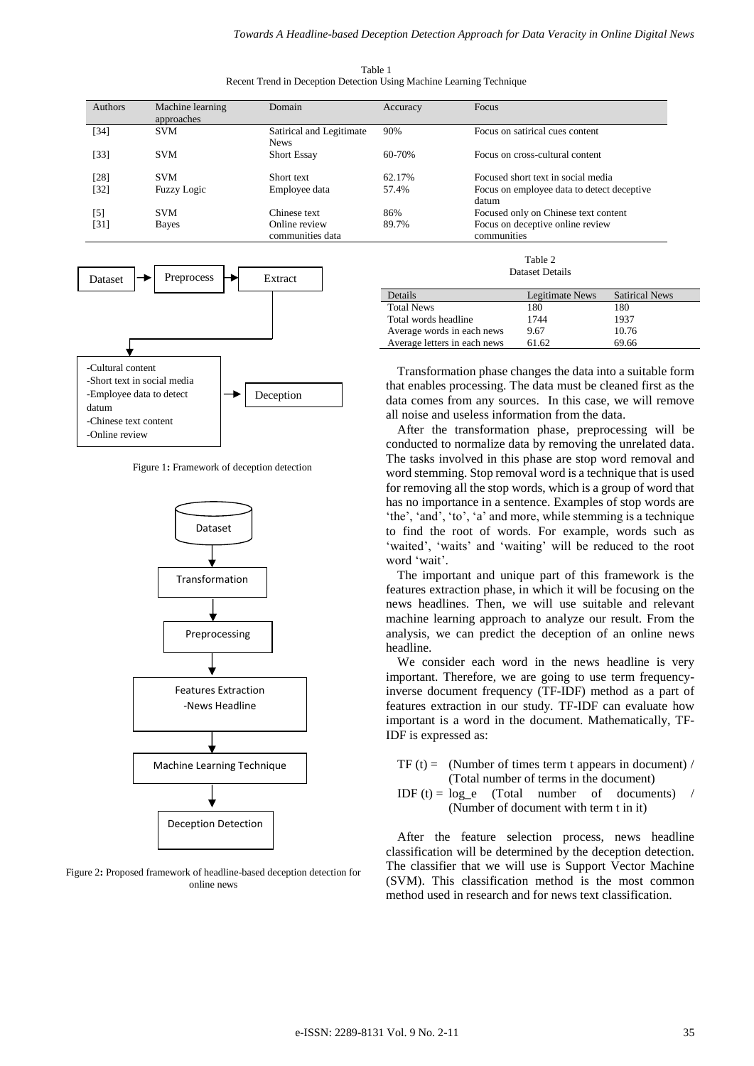Table 1 Recent Trend in Deception Detection Using Machine Learning Technique

| <b>Authors</b> | Machine learning<br>approaches | Domain                                  | Accuracy | Focus                                               |
|----------------|--------------------------------|-----------------------------------------|----------|-----------------------------------------------------|
| [34]           | <b>SVM</b>                     | Satirical and Legitimate<br><b>News</b> | 90%      | Focus on satirical cues content                     |
| [33]           | <b>SVM</b>                     | <b>Short Essay</b>                      | 60-70%   | Focus on cross-cultural content                     |
| [28]           | <b>SVM</b>                     | Short text                              | 62.17%   | Focused short text in social media                  |
| [32]           | <b>Fuzzy Logic</b>             | Employee data                           | 57.4%    | Focus on employee data to detect deceptive<br>datum |
| [5]            | <b>SVM</b>                     | Chinese text                            | 86%      | Focused only on Chinese text content                |
| [31]           | Bayes                          | Online review<br>communities data       | 89.7%    | Focus on deceptive online review<br>communities     |



Figure 1**:** Framework of deception detection



Figure 2**:** Proposed framework of headline-based deception detection for online news

Table 2 Dataset Details

| Details                      | Legitimate News | <b>Satirical News</b> |
|------------------------------|-----------------|-----------------------|
| <b>Total News</b>            | 180             | 180                   |
| Total words headline         | 1744            | 1937                  |
| Average words in each news   | 9.67            | 10.76                 |
| Average letters in each news | 61.62           | 69.66                 |

Transformation phase changes the data into a suitable form that enables processing. The data must be cleaned first as the data comes from any sources. In this case, we will remove all noise and useless information from the data.

After the transformation phase, preprocessing will be conducted to normalize data by removing the unrelated data. The tasks involved in this phase are stop word removal and word stemming. Stop removal word is a technique that is used for removing all the stop words, which is a group of word that has no importance in a sentence. Examples of stop words are 'the', 'and', 'to', 'a' and more, while stemming is a technique to find the root of words. For example, words such as 'waited', 'waits' and 'waiting' will be reduced to the root word 'wait'.

The important and unique part of this framework is the features extraction phase, in which it will be focusing on the news headlines. Then, we will use suitable and relevant machine learning approach to analyze our result. From the analysis, we can predict the deception of an online news headline.

We consider each word in the news headline is very important. Therefore, we are going to use term frequencyinverse document frequency (TF-IDF) method as a part of features extraction in our study. TF-IDF can evaluate how important is a word in the document. Mathematically, TF-IDF is expressed as:

TF (t) = (Number of times term t appears in document) / (Total number of terms in the document)

IDF (t) =  $\log e$  (Total number of documents) / (Number of document with term t in it)

After the feature selection process, news headline classification will be determined by the deception detection. The classifier that we will use is Support Vector Machine (SVM). This classification method is the most common method used in research and for news text classification.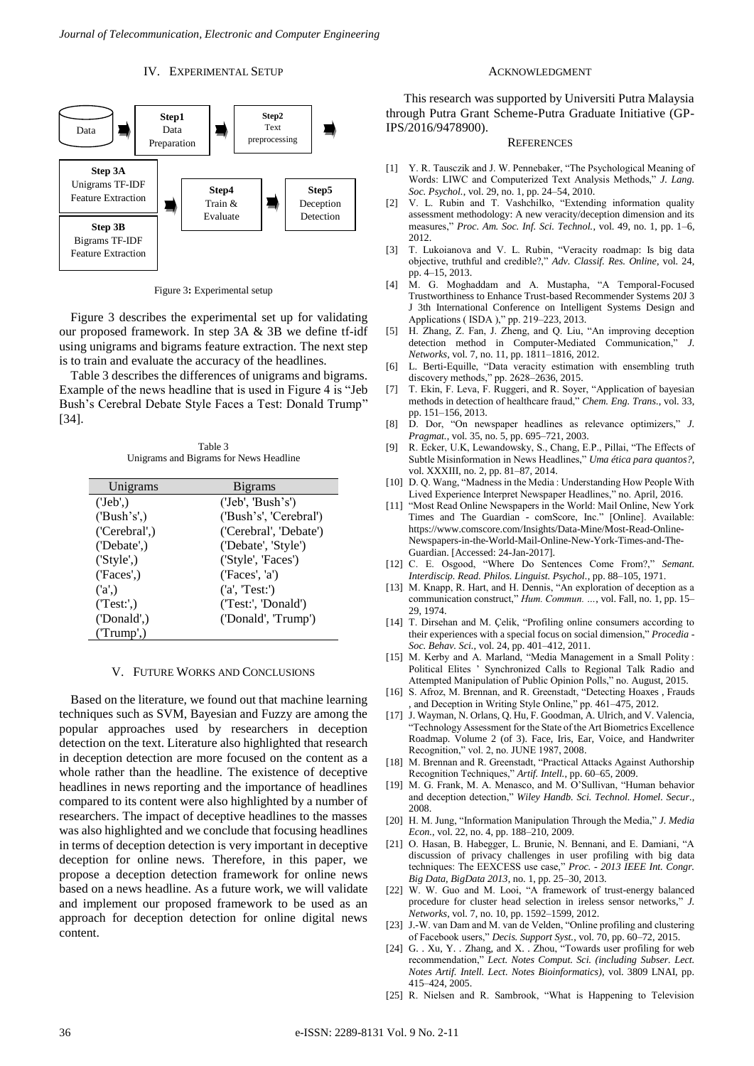#### IV. EXPERIMENTAL SETUP



Figure 3**:** Experimental setup

Figure 3 describes the experimental set up for validating our proposed framework. In step 3A & 3B we define tf-idf using unigrams and bigrams feature extraction. The next step is to train and evaluate the accuracy of the headlines.

Table 3 describes the differences of unigrams and bigrams. Example of the news headline that is used in Figure 4 is "Jeb Bush's Cerebral Debate Style Faces a Test: Donald Trump" [34].

Table 3 Unigrams and Bigrams for News Headline

| Unigrams                | <b>B</b> igrams              |
|-------------------------|------------------------------|
| ('Jeb'.)                | ('Jeb', 'Bush's')            |
| (Bush's')               | ('Bush's', 'Cerebral')       |
| ('Cerebral',)           | ('Cerebral', 'Debate')       |
| ( 'Debate'. )           | ('Debate', 'Style')          |
| ('Style', )             | ('Style', 'Faces')           |
| (T <sup>'</sup> faces') | (T <sup>'</sup> faces', 'a') |
| (a')                    | (a', 'Test')                 |
| (Test:')                | ('Test:', 'Donald')          |
| ('Donald',)             | ('Donald', 'Trump')          |
| (Trump')                |                              |

#### V. FUTURE WORKS AND CONCLUSIONS

Based on the literature, we found out that machine learning techniques such as SVM, Bayesian and Fuzzy are among the popular approaches used by researchers in deception detection on the text. Literature also highlighted that research in deception detection are more focused on the content as a whole rather than the headline. The existence of deceptive headlines in news reporting and the importance of headlines compared to its content were also highlighted by a number of researchers. The impact of deceptive headlines to the masses was also highlighted and we conclude that focusing headlines in terms of deception detection is very important in deceptive deception for online news. Therefore, in this paper, we propose a deception detection framework for online news based on a news headline. As a future work, we will validate and implement our proposed framework to be used as an approach for deception detection for online digital news content.

#### ACKNOWLEDGMENT

This research was supported by Universiti Putra Malaysia through Putra Grant Scheme-Putra Graduate Initiative (GP-IPS/2016/9478900).

#### **REFERENCES**

- [1] Y. R. Tausczik and J. W. Pennebaker, "The Psychological Meaning of Words: LIWC and Computerized Text Analysis Methods," *J. Lang. Soc. Psychol.*, vol. 29, no. 1, pp. 24–54, 2010.
- [2] V. L. Rubin and T. Vashchilko, "Extending information quality assessment methodology: A new veracity/deception dimension and its measures," *Proc. Am. Soc. Inf. Sci. Technol.*, vol. 49, no. 1, pp. 1–6, 2012.
- [3] T. Lukoianova and V. L. Rubin, "Veracity roadmap: Is big data objective, truthful and credible?," *Adv. Classif. Res. Online*, vol. 24, pp. 4–15, 2013.
- [4] M. G. Moghaddam and A. Mustapha, "A Temporal-Focused Trustworthiness to Enhance Trust-based Recommender Systems 20J 3 J 3th International Conference on Intelligent Systems Design and Applications ( ISDA )," pp. 219–223, 2013.
- [5] H. Zhang, Z. Fan, J. Zheng, and Q. Liu, "An improving deception detection method in Computer-Mediated Communication," *J. Networks*, vol. 7, no. 11, pp. 1811–1816, 2012.
- [6] L. Berti-Equille, "Data veracity estimation with ensembling truth discovery methods," pp. 2628–2636, 2015.
- [7] T. Ekin, F. Leva, F. Ruggeri, and R. Soyer, "Application of bayesian methods in detection of healthcare fraud," *Chem. Eng. Trans.*, vol. 33, pp. 151–156, 2013.
- [8] D. Dor, "On newspaper headlines as relevance optimizers," *J. Pragmat.*, vol. 35, no. 5, pp. 695–721, 2003.
- [9] R. Ecker, U.K, Lewandowsky, S., Chang, E.P., Pillai, "The Effects of Subtle Misinformation in News Headlines," *Uma ética para quantos?*, vol. XXXIII, no. 2, pp. 81–87, 2014.
- [10] D. Q. Wang, "Madness in the Media : Understanding How People With Lived Experience Interpret Newspaper Headlines," no. April, 2016.
- [11] "Most Read Online Newspapers in the World: Mail Online, New York Times and The Guardian - comScore, Inc." [Online]. Available: https://www.comscore.com/Insights/Data-Mine/Most-Read-Online-Newspapers-in-the-World-Mail-Online-New-York-Times-and-The-Guardian. [Accessed: 24-Jan-2017].
- [12] C. E. Osgood, "Where Do Sentences Come From?," *Semant. Interdiscip. Read. Philos. Linguist. Psychol.*, pp. 88–105, 1971.
- [13] M. Knapp, R. Hart, and H. Dennis, "An exploration of deception as a communication construct," *Hum. Commun. …*, vol. Fall, no. 1, pp. 15– 29, 1974.
- [14] T. Dirsehan and M. Çelik, "Profiling online consumers according to their experiences with a special focus on social dimension," *Procedia - Soc. Behav. Sci.*, vol. 24, pp. 401–412, 2011.
- [15] M. Kerby and A. Marland, "Media Management in a Small Polity: Political Elites ' Synchronized Calls to Regional Talk Radio and Attempted Manipulation of Public Opinion Polls," no. August, 2015.
- [16] S. Afroz, M. Brennan, and R. Greenstadt, "Detecting Hoaxes, Frauds , and Deception in Writing Style Online," pp. 461–475, 2012.
- [17] J. Wayman, N. Orlans, O. Hu, F. Goodman, A. Ulrich, and V. Valencia, "Technology Assessment for the State of the Art Biometrics Excellence Roadmap. Volume 2 (of 3). Face, Iris, Ear, Voice, and Handwriter Recognition," vol. 2, no. JUNE 1987, 2008.
- [18] M. Brennan and R. Greenstadt, "Practical Attacks Against Authorship Recognition Techniques," *Artif. Intell.*, pp. 60–65, 2009.
- [19] M. G. Frank, M. A. Menasco, and M. O'Sullivan, "Human behavior and deception detection," *Wiley Handb. Sci. Technol. Homel. Secur.*, 2008.
- [20] H. M. Jung, "Information Manipulation Through the Media," *J. Media Econ.*, vol. 22, no. 4, pp. 188–210, 2009.
- [21] O. Hasan, B. Habegger, L. Brunie, N. Bennani, and E. Damiani, "A discussion of privacy challenges in user profiling with big data techniques: The EEXCESS use case," *Proc. - 2013 IEEE Int. Congr. Big Data, BigData 2013*, no. 1, pp. 25–30, 2013.
- [22] W. W. Guo and M. Looi, "A framework of trust-energy balanced procedure for cluster head selection in ireless sensor networks," *J. Networks*, vol. 7, no. 10, pp. 1592–1599, 2012.
- [23] J.-W. van Dam and M. van de Velden, "Online profiling and clustering of Facebook users," *Decis. Support Syst.*, vol. 70, pp. 60–72, 2015.
- [24] G. . Xu, Y. . Zhang, and X. . Zhou, "Towards user profiling for web recommendation," *Lect. Notes Comput. Sci. (including Subser. Lect. Notes Artif. Intell. Lect. Notes Bioinformatics)*, vol. 3809 LNAI, pp. 415–424, 2005.
- [25] R. Nielsen and R. Sambrook, "What is Happening to Television